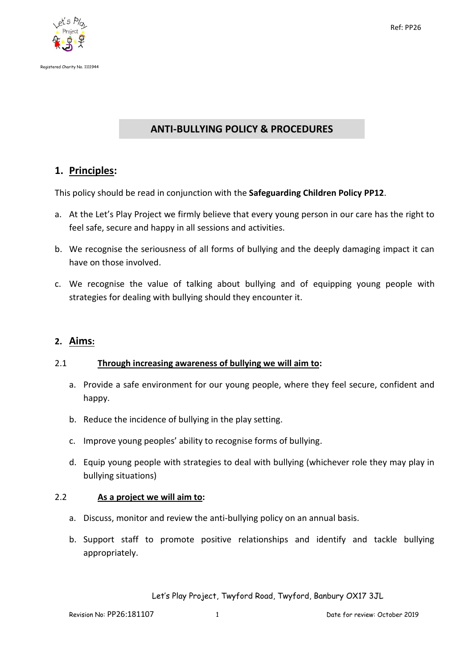

# **ANTI-BULLYING POLICY & PROCEDURES**

## **1. Principles:**

This policy should be read in conjunction with the **Safeguarding Children Policy PP12**.

- a. At the Let's Play Project we firmly believe that every young person in our care has the right to feel safe, secure and happy in all sessions and activities.
- b. We recognise the seriousness of all forms of bullying and the deeply damaging impact it can have on those involved.
- c. We recognise the value of talking about bullying and of equipping young people with strategies for dealing with bullying should they encounter it.

### **2. Aims:**

#### 2.1 **Through increasing awareness of bullying we will aim to:**

- a. Provide a safe environment for our young people, where they feel secure, confident and happy.
- b. Reduce the incidence of bullying in the play setting.
- c. Improve young peoples' ability to recognise forms of bullying.
- d. Equip young people with strategies to deal with bullying (whichever role they may play in bullying situations)

### 2.2 **As a project we will aim to:**

- a. Discuss, monitor and review the anti-bullying policy on an annual basis.
- b. Support staff to promote positive relationships and identify and tackle bullying appropriately.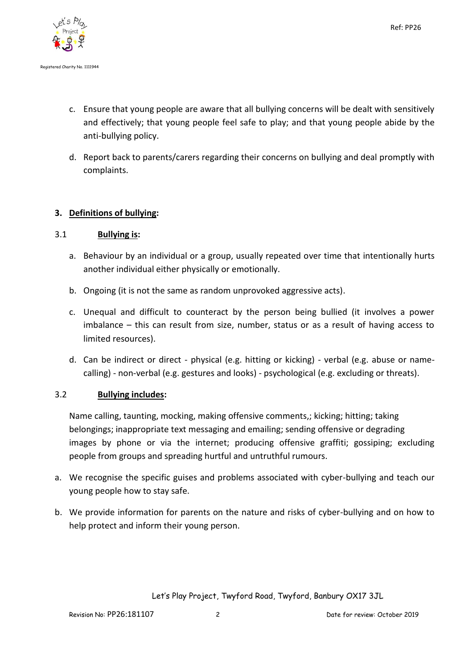

- c. Ensure that young people are aware that all bullying concerns will be dealt with sensitively and effectively; that young people feel safe to play; and that young people abide by the anti-bullying policy.
- d. Report back to parents/carers regarding their concerns on bullying and deal promptly with complaints.

## **3. Definitions of bullying:**

### 3.1 **Bullying is:**

- a. Behaviour by an individual or a group, usually repeated over time that intentionally hurts another individual either physically or emotionally.
- b. Ongoing (it is not the same as random unprovoked aggressive acts).
- c. Unequal and difficult to counteract by the person being bullied (it involves a power imbalance – this can result from size, number, status or as a result of having access to limited resources).
- d. Can be indirect or direct physical (e.g. hitting or kicking) verbal (e.g. abuse or namecalling) - non-verbal (e.g. gestures and looks) - psychological (e.g. excluding or threats).

### 3.2 **Bullying includes:**

Name calling, taunting, mocking, making offensive comments,; kicking; hitting; taking belongings; inappropriate text messaging and emailing; sending offensive or degrading images by phone or via the internet; producing offensive graffiti; gossiping; excluding people from groups and spreading hurtful and untruthful rumours.

- a. We recognise the specific guises and problems associated with cyber-bullying and teach our young people how to stay safe.
- b. We provide information for parents on the nature and risks of cyber-bullying and on how to help protect and inform their young person.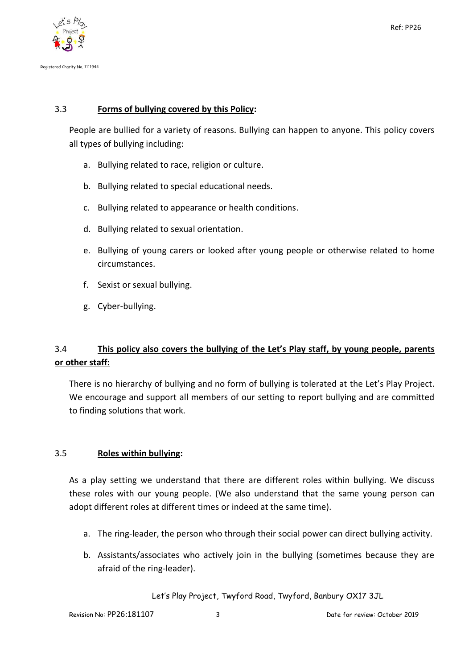

## 3.3 **Forms of bullying covered by this Policy:**

People are bullied for a variety of reasons. Bullying can happen to anyone. This policy covers all types of bullying including:

- a. Bullying related to race, religion or culture.
- b. Bullying related to special educational needs.
- c. Bullying related to appearance or health conditions.
- d. Bullying related to sexual orientation.
- e. Bullying of young carers or looked after young people or otherwise related to home circumstances.
- f. Sexist or sexual bullying.
- g. Cyber-bullying.

# 3.4 **This policy also covers the bullying of the Let's Play staff, by young people, parents or other staff:**

There is no hierarchy of bullying and no form of bullying is tolerated at the Let's Play Project. We encourage and support all members of our setting to report bullying and are committed to finding solutions that work.

### 3.5 **Roles within bullying:**

As a play setting we understand that there are different roles within bullying. We discuss these roles with our young people. (We also understand that the same young person can adopt different roles at different times or indeed at the same time).

- a. The ring-leader, the person who through their social power can direct bullying activity.
- b. Assistants/associates who actively join in the bullying (sometimes because they are afraid of the ring-leader).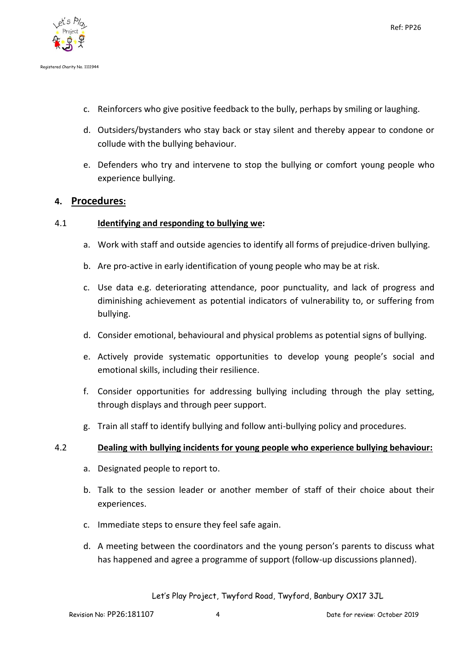

- c. Reinforcers who give positive feedback to the bully, perhaps by smiling or laughing.
- d. Outsiders/bystanders who stay back or stay silent and thereby appear to condone or collude with the bullying behaviour.
- e. Defenders who try and intervene to stop the bullying or comfort young people who experience bullying.

### **4. Procedures:**

#### 4.1 **Identifying and responding to bullying we:**

- a. Work with staff and outside agencies to identify all forms of prejudice-driven bullying.
- b. Are pro-active in early identification of young people who may be at risk.
- c. Use data e.g. deteriorating attendance, poor punctuality, and lack of progress and diminishing achievement as potential indicators of vulnerability to, or suffering from bullying.
- d. Consider emotional, behavioural and physical problems as potential signs of bullying.
- e. Actively provide systematic opportunities to develop young people's social and emotional skills, including their resilience.
- f. Consider opportunities for addressing bullying including through the play setting, through displays and through peer support.
- g. Train all staff to identify bullying and follow anti-bullying policy and procedures.

#### 4.2 **Dealing with bullying incidents for young people who experience bullying behaviour:**

- a. Designated people to report to.
- b. Talk to the session leader or another member of staff of their choice about their experiences.
- c. Immediate steps to ensure they feel safe again.
- d. A meeting between the coordinators and the young person's parents to discuss what has happened and agree a programme of support (follow-up discussions planned).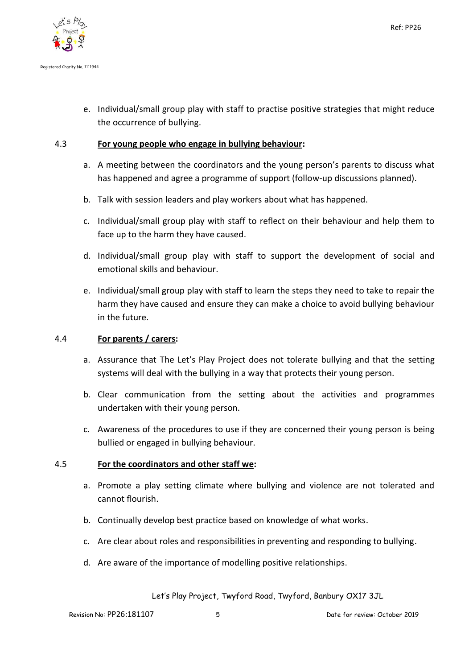

e. Individual/small group play with staff to practise positive strategies that might reduce the occurrence of bullying.

#### 4.3 **For young people who engage in bullying behaviour:**

- a. A meeting between the coordinators and the young person's parents to discuss what has happened and agree a programme of support (follow-up discussions planned).
- b. Talk with session leaders and play workers about what has happened.
- c. Individual/small group play with staff to reflect on their behaviour and help them to face up to the harm they have caused.
- d. Individual/small group play with staff to support the development of social and emotional skills and behaviour.
- e. Individual/small group play with staff to learn the steps they need to take to repair the harm they have caused and ensure they can make a choice to avoid bullying behaviour in the future.

#### 4.4 **For parents / carers:**

- a. Assurance that The Let's Play Project does not tolerate bullying and that the setting systems will deal with the bullying in a way that protects their young person.
- b. Clear communication from the setting about the activities and programmes undertaken with their young person.
- c. Awareness of the procedures to use if they are concerned their young person is being bullied or engaged in bullying behaviour.

### 4.5 **For the coordinators and other staff we:**

- a. Promote a play setting climate where bullying and violence are not tolerated and cannot flourish.
- b. Continually develop best practice based on knowledge of what works.
- c. Are clear about roles and responsibilities in preventing and responding to bullying.
- d. Are aware of the importance of modelling positive relationships.